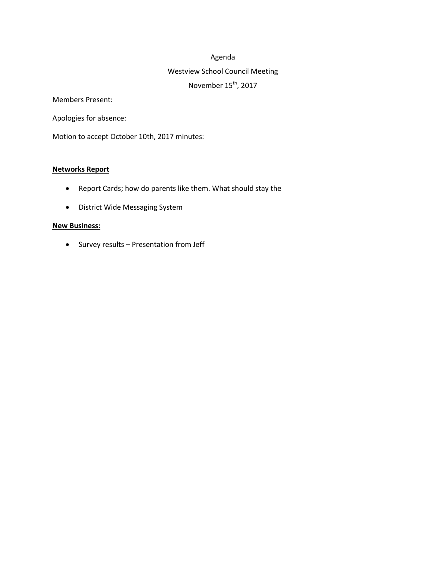#### Agenda

# Westview School Council Meeting November 15<sup>th</sup>, 2017

Members Present:

Apologies for absence:

Motion to accept October 10th, 2017 minutes:

#### **Networks Report**

- Report Cards; how do parents like them. What should stay the
- District Wide Messaging System

#### **New Business:**

• Survey results – Presentation from Jeff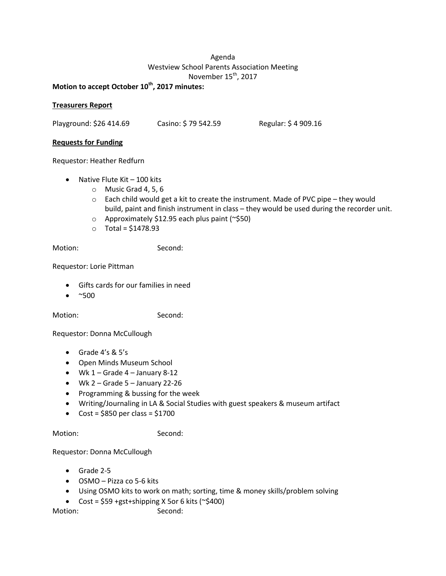# Agenda Westview School Parents Association Meeting November 15<sup>th</sup>, 2017

**Motion to accept October 10th , 2017 minutes:**

# **Treasurers Report**

Playground: \$26 414.69 Casino: \$ 79 542.59 Regular: \$ 4 909.16

## **Requests for Funding**

Requestor: Heather Redfurn

- $\bullet$  Native Flute Kit 100 kits
	- o Music Grad 4, 5, 6
	- $\circ$  Each child would get a kit to create the instrument. Made of PVC pipe they would build, paint and finish instrument in class – they would be used during the recorder unit.
	- o Approximately \$12.95 each plus paint (~\$50)
	- $\circ$  Total = \$1478.93

Motion: Second:

Requestor: Lorie Pittman

- Gifts cards for our families in need
- $\bullet$  ~500

Motion: Second:

Requestor: Donna McCullough

- Grade  $4's & 5's$
- Open Minds Museum School
- $\bullet$  Wk 1 Grade 4 January 8-12
- $Wk$  2 Grade 5 January 22-26
- Programming & bussing for the week
- Writing/Journaling in LA & Social Studies with guest speakers & museum artifact
- $\bullet$  Cost = \$850 per class = \$1700

Motion: Second:

### Requestor: Donna McCullough

- Grade 2-5
- OSMO Pizza co 5-6 kits
- Using OSMO kits to work on math; sorting, time & money skills/problem solving
- Cost =  $$59$  +gst+shipping X 5or 6 kits (~ $$400$ )

Motion: Second: